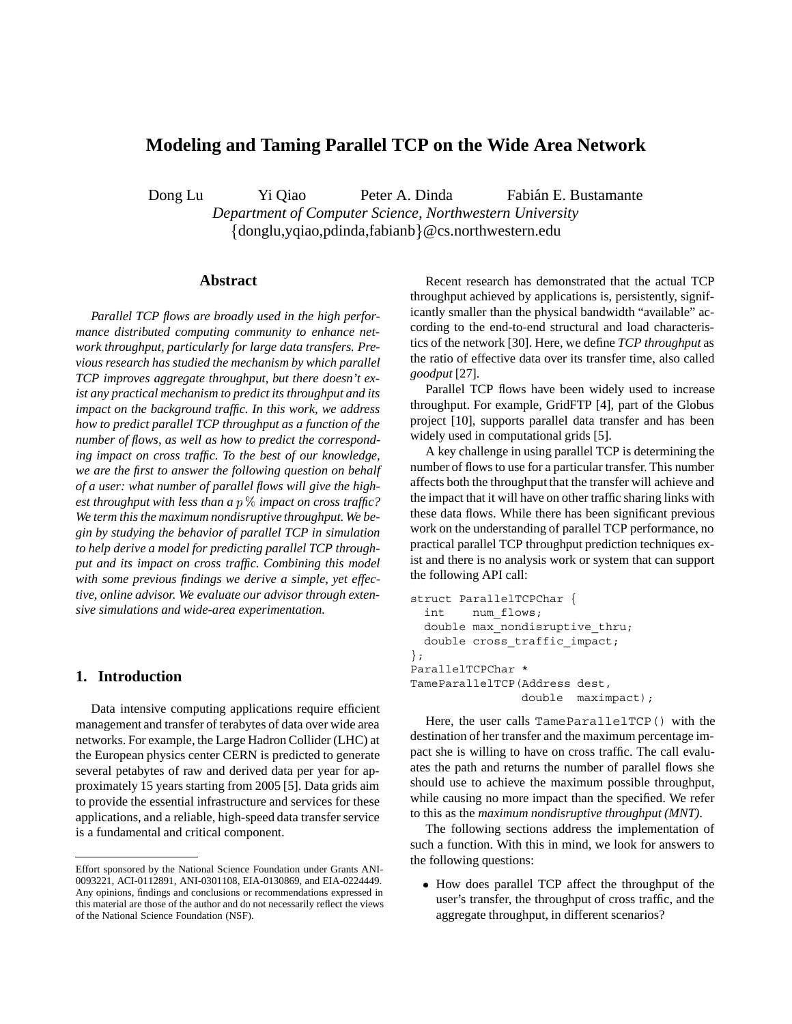# **Modeling and Taming Parallel TCP on the Wide Area Network**

Dong Lu Yi Qiao Peter A. Dinda Fabián E. Bustamante

*Department of Computer Science, Northwestern University* donglu,yqiao,pdinda,fabianb@cs.northwestern.edu

#### **Abstract**

*Parallel TCP flows are broadly used in the high performance distributed computing community to enhance network throughput, particularly for large data transfers. Previous research has studied the mechanism by which parallel TCP improves aggregate throughput, but there doesn't exist any practical mechanism to predict its throughput and its impact on the background traffic. In this work, we address how to predict parallel TCP throughput as a function of the number of flows, as well as how to predict the corresponding impact on cross traffic. To the best of our knowledge, we are the first to answer the following question on behalf of a user: what number of parallel flows will give the highest throughput with less than a impact on cross traffic? We term this the maximum nondisruptive throughput. We begin by studying the behavior of parallel TCP in simulation to help derive a model for predicting parallel TCP throughput and its impact on cross traffic. Combining this model with some previous findings we derive a simple, yet effective, online advisor. We evaluate our advisor through extensive simulations and wide-area experimentation.*

## **1. Introduction**

Data intensive computing applications require efficient management and transfer of terabytes of data over wide area networks. For example, the Large Hadron Collider (LHC) at the European physics center CERN is predicted to generate several petabytes of raw and derived data per year for approximately 15 years starting from 2005 [5]. Data grids aim to provide the essential infrastructure and services for these applications, and a reliable, high-speed data transfer service is a fundamental and critical component.

Recent research has demonstrated that the actual TCP throughput achieved by applications is, persistently, significantly smaller than the physical bandwidth "available" according to the end-to-end structural and load characteristics of the network [30]. Here, we define *TCP throughput* as the ratio of effective data over its transfer time, also called *goodput* [27].

Parallel TCP flows have been widely used to increase throughput. For example, GridFTP [4], part of the Globus project [10], supports parallel data transfer and has been widely used in computational grids [5].

A key challenge in using parallel TCP is determining the number of flows to use for a particular transfer. This number affects both the throughput that the transfer will achieve and the impact that it will have on other traffic sharing links with these data flows. While there has been significant previous work on the understanding of parallel TCP performance, no practical parallel TCP throughput prediction techniques exist and there is no analysis work or system that can support the following API call:

```
struct ParallelTCPChar {
  int num_flows;
 double max nondisruptive thru;
 double cross_traffic_impact;
};
ParallelTCPChar *
TameParallelTCP(Address dest,
                double maximpact);
```
Here, the user calls TameParallelTCP() with the destination of her transfer and the maximum percentage impact she is willing to have on cross traffic. The call evaluates the path and returns the number of parallel flows she should use to achieve the maximum possible throughput, while causing no more impact than the specified. We refer to this as the *maximum nondisruptive throughput (MNT)*.

The following sections address the implementation of such a function. With this in mind, we look for answers to the following questions:

• How does parallel TCP affect the throughput of the user's transfer, the throughput of cross traffic, and the aggregate throughput, in different scenarios?

Effort sponsored by the National Science Foundation under Grants ANI-0093221, ACI-0112891, ANI-0301108, EIA-0130869, and EIA-0224449. Any opinions, findings and conclusions or recommendations expressed in this material are those of the author and do not necessarily reflect the views of the National Science Foundation (NSF).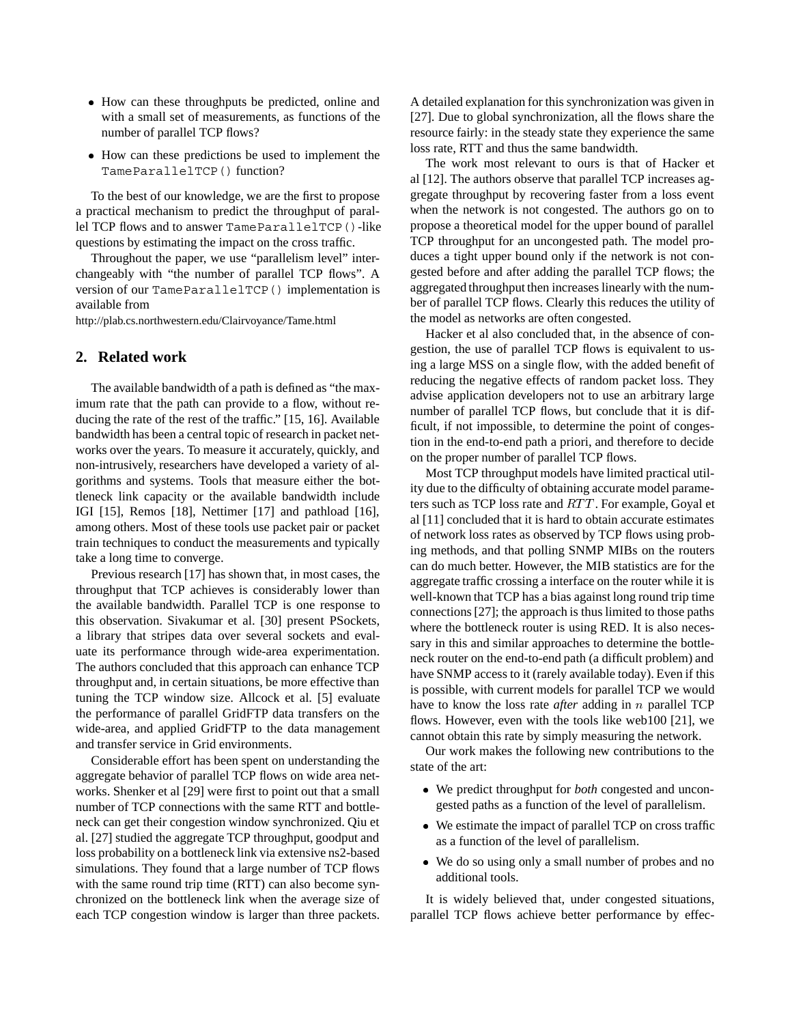- How can these throughputs be predicted, online and with a small set of measurements, as functions of the number of parallel TCP flows?
- How can these predictions be used to implement the TameParallelTCP() function?

To the best of our knowledge, we are the first to propose a practical mechanism to predict the throughput of parallel TCP flows and to answer TameParallelTCP()-like questions by estimating the impact on the cross traffic.

Throughout the paper, we use "parallelism level" interchangeably with "the number of parallel TCP flows". A version of our TameParallelTCP() implementation is available from

http://plab.cs.northwestern.edu/Clairvoyance/Tame.html

#### **2. Related work**

The available bandwidth of a path is defined as "the maximum rate that the path can provide to a flow, without reducing the rate of the rest of the traffic." [15, 16]. Available bandwidth has been a central topic of research in packet networks over the years. To measure it accurately, quickly, and non-intrusively, researchers have developed a variety of algorithms and systems. Tools that measure either the bottleneck link capacity or the available bandwidth include IGI [15], Remos [18], Nettimer [17] and pathload [16], among others. Most of these tools use packet pair or packet train techniques to conduct the measurements and typically take a long time to converge.

Previous research [17] has shown that, in most cases, the throughput that TCP achieves is considerably lower than the available bandwidth. Parallel TCP is one response to this observation. Sivakumar et al. [30] present PSockets, a library that stripes data over several sockets and evaluate its performance through wide-area experimentation. The authors concluded that this approach can enhance TCP throughput and, in certain situations, be more effective than tuning the TCP window size. Allcock et al. [5] evaluate the performance of parallel GridFTP data transfers on the wide-area, and applied GridFTP to the data management and transfer service in Grid environments.

Considerable effort has been spent on understanding the aggregate behavior of parallel TCP flows on wide area networks. Shenker et al [29] were first to point out that a small number of TCP connections with the same RTT and bottleneck can get their congestion window synchronized. Qiu et al. [27] studied the aggregate TCP throughput, goodput and loss probability on a bottleneck link via extensive ns2-based simulations. They found that a large number of TCP flows with the same round trip time (RTT) can also become synchronized on the bottleneck link when the average size of each TCP congestion window is larger than three packets. A detailed explanation for this synchronization was given in [27]. Due to global synchronization, all the flows share the resource fairly: in the steady state they experience the same loss rate, RTT and thus the same bandwidth.

The work most relevant to ours is that of Hacker et al [12]. The authors observe that parallel TCP increases aggregate throughput by recovering faster from a loss event when the network is not congested. The authors go on to propose a theoretical model for the upper bound of parallel TCP throughput for an uncongested path. The model produces a tight upper bound only if the network is not congested before and after adding the parallel TCP flows; the aggregated throughput then increases linearly with the number of parallel TCP flows. Clearly this reduces the utility of the model as networks are often congested.

Hacker et al also concluded that, in the absence of congestion, the use of parallel TCP flows is equivalent to using a large MSS on a single flow, with the added benefit of reducing the negative effects of random packet loss. They advise application developers not to use an arbitrary large number of parallel TCP flows, but conclude that it is difficult, if not impossible, to determine the point of congestion in the end-to-end path a priori, and therefore to decide on the proper number of parallel TCP flows.

Most TCP throughput models have limited practical utility due to the difficulty of obtaining accurate model parameters such as TCP loss rate and  $RTT$ . For example, Goyal et al [11] concluded that it is hard to obtain accurate estimates of network loss rates as observed by TCP flows using probing methods, and that polling SNMP MIBs on the routers can do much better. However, the MIB statistics are for the aggregate traffic crossing a interface on the router while it is well-known that TCP has a bias against long round trip time connections [27]; the approach is thus limited to those paths where the bottleneck router is using RED. It is also necessary in this and similar approaches to determine the bottleneck router on the end-to-end path (a difficult problem) and have SNMP access to it (rarely available today). Even if this is possible, with current models for parallel TCP we would have to know the loss rate *after* adding in *n* parallel TCP flows. However, even with the tools like web100 [21], we cannot obtain this rate by simply measuring the network.

Our work makes the following new contributions to the state of the art:

- We predict throughput for *both* congested and uncongested paths as a function of the level of parallelism.
- We estimate the impact of parallel TCP on cross traffic as a function of the level of parallelism.
- We do so using only a small number of probes and no additional tools.

It is widely believed that, under congested situations, parallel TCP flows achieve better performance by effec-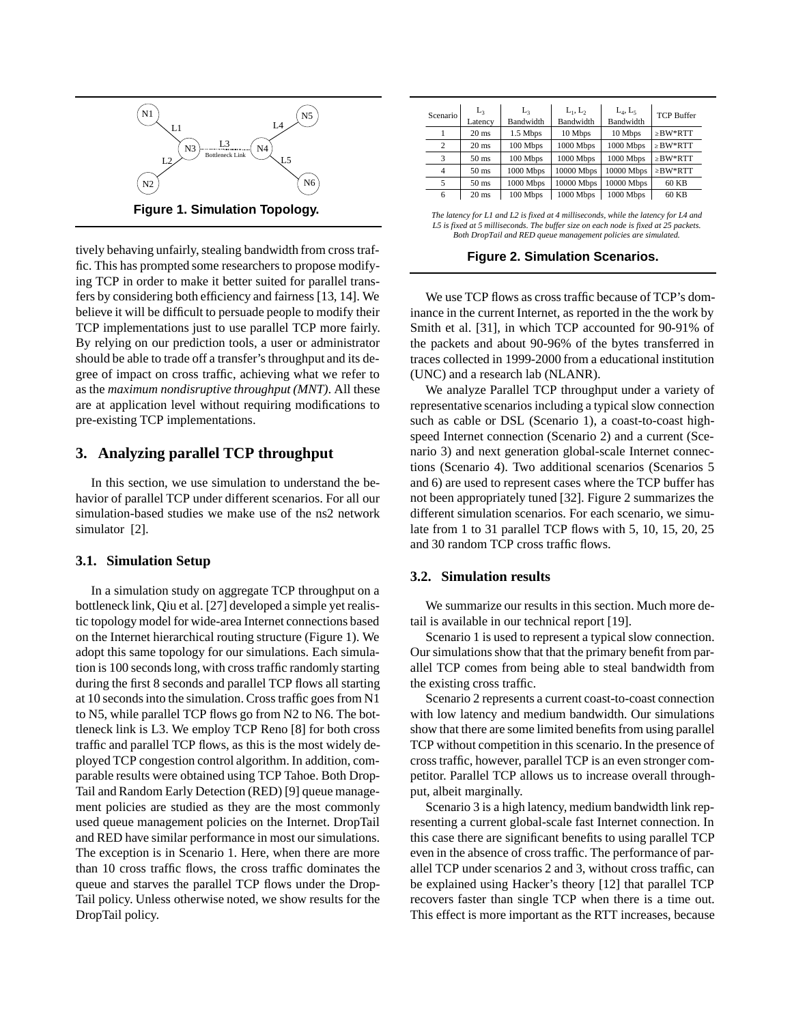

tively behaving unfairly, stealing bandwidth from cross traffic. This has prompted some researchers to propose modifying TCP in order to make it better suited for parallel transfers by considering both efficiency and fairness [13, 14]. We believe it will be difficult to persuade people to modify their TCP implementations just to use parallel TCP more fairly. By relying on our prediction tools, a user or administrator should be able to trade off a transfer's throughput and its degree of impact on cross traffic, achieving what we refer to as the *maximum nondisruptive throughput (MNT)*. All these are at application level without requiring modifications to pre-existing TCP implementations.

### **3. Analyzing parallel TCP throughput**

In this section, we use simulation to understand the behavior of parallel TCP under different scenarios. For all our simulation-based studies we make use of the ns2 network simulator [2].

#### **3.1. Simulation Setup**

In a simulation study on aggregate TCP throughput on a bottleneck link, Qiu et al. [27] developed a simple yet realistic topology model for wide-area Internet connections based on the Internet hierarchical routing structure (Figure 1). We adopt this same topology for our simulations. Each simulation is 100 seconds long, with cross traffic randomly starting during the first 8 seconds and parallel TCP flows all starting at 10 seconds into the simulation. Cross traffic goes from N1 to N5, while parallel TCP flows go from N2 to N6. The bottleneck link is L3. We employ TCP Reno [8] for both cross traffic and parallel TCP flows, as this is the most widely deployed TCP congestion control algorithm. In addition, comparable results were obtained using TCP Tahoe. Both Drop-Tail and Random Early Detection (RED) [9] queue management policies are studied as they are the most commonly used queue management policies on the Internet. DropTail and RED have similar performance in most our simulations. The exception is in Scenario 1. Here, when there are more than 10 cross traffic flows, the cross traffic dominates the queue and starves the parallel TCP flows under the Drop-Tail policy. Unless otherwise noted, we show results for the DropTail policy.

| Scenario       | L,               | $L_{\rm z}$ | $L_1, L_2$ | $L_4, L_5$ | <b>TCP Buffer</b> |
|----------------|------------------|-------------|------------|------------|-------------------|
|                | Latency          | Bandwidth   | Bandwidth  | Bandwidth  |                   |
|                | $20 \text{ ms}$  | 1.5 Mbps    | 10 Mbps    | 10 Mbps    | $\geq$ BW*RTT     |
| $\overline{c}$ | $20 \text{ ms}$  | 100 Mbps    | 1000 Mbps  | 1000 Mbps  | $\geq$ BW*RTT     |
| 3              | $50 \text{ ms}$  | 100 Mbps    | 1000 Mbps  | 1000 Mbps  | $\geq$ BW*RTT     |
| 4              | 50 <sub>ms</sub> | 1000 Mbps   | 10000 Mbps | 10000 Mbps | $\geq$ BW*RTT     |
|                | 50 <sub>ms</sub> | 1000 Mbps   | 10000 Mbps | 10000 Mbps | 60 KB             |
| 6              | $20 \text{ ms}$  | 100 Mbps    | 1000 Mbps  | 1000 Mbps  | 60 KB             |

*The latency for L1 and L2 is fixed at 4 milliseconds, while the latency for L4 and L5 is fixed at 5 milliseconds. The buffer size on each node is fixed at 25 packets. Both DropTail and RED queue management policies are simulated.*

**Figure 2. Simulation Scenarios.**

We use TCP flows as cross traffic because of TCP's dominance in the current Internet, as reported in the the work by Smith et al. [31], in which TCP accounted for 90-91% of the packets and about 90-96% of the bytes transferred in traces collected in 1999-2000 from a educational institution (UNC) and a research lab (NLANR).

We analyze Parallel TCP throughput under a variety of representative scenarios including a typical slow connection such as cable or DSL (Scenario 1), a coast-to-coast highspeed Internet connection (Scenario 2) and a current (Scenario 3) and next generation global-scale Internet connections (Scenario 4). Two additional scenarios (Scenarios 5 and 6) are used to represent cases where the TCP buffer has not been appropriately tuned [32]. Figure 2 summarizes the different simulation scenarios. For each scenario, we simulate from 1 to 31 parallel TCP flows with 5, 10, 15, 20, 25 and 30 random TCP cross traffic flows.

#### **3.2. Simulation results**

We summarize our results in this section. Much more detail is available in our technical report [19].

Scenario 1 is used to represent a typical slow connection. Our simulations show that that the primary benefit from parallel TCP comes from being able to steal bandwidth from the existing cross traffic.

Scenario 2 represents a current coast-to-coast connection with low latency and medium bandwidth. Our simulations show that there are some limited benefits from using parallel TCP without competition in this scenario. In the presence of cross traffic, however, parallel TCP is an even stronger competitor. Parallel TCP allows us to increase overall throughput, albeit marginally.

Scenario 3 is a high latency, medium bandwidth link representing a current global-scale fast Internet connection. In this case there are significant benefits to using parallel TCP even in the absence of cross traffic. The performance of parallel TCP under scenarios 2 and 3, without cross traffic, can be explained using Hacker's theory [12] that parallel TCP recovers faster than single TCP when there is a time out. This effect is more important as the RTT increases, because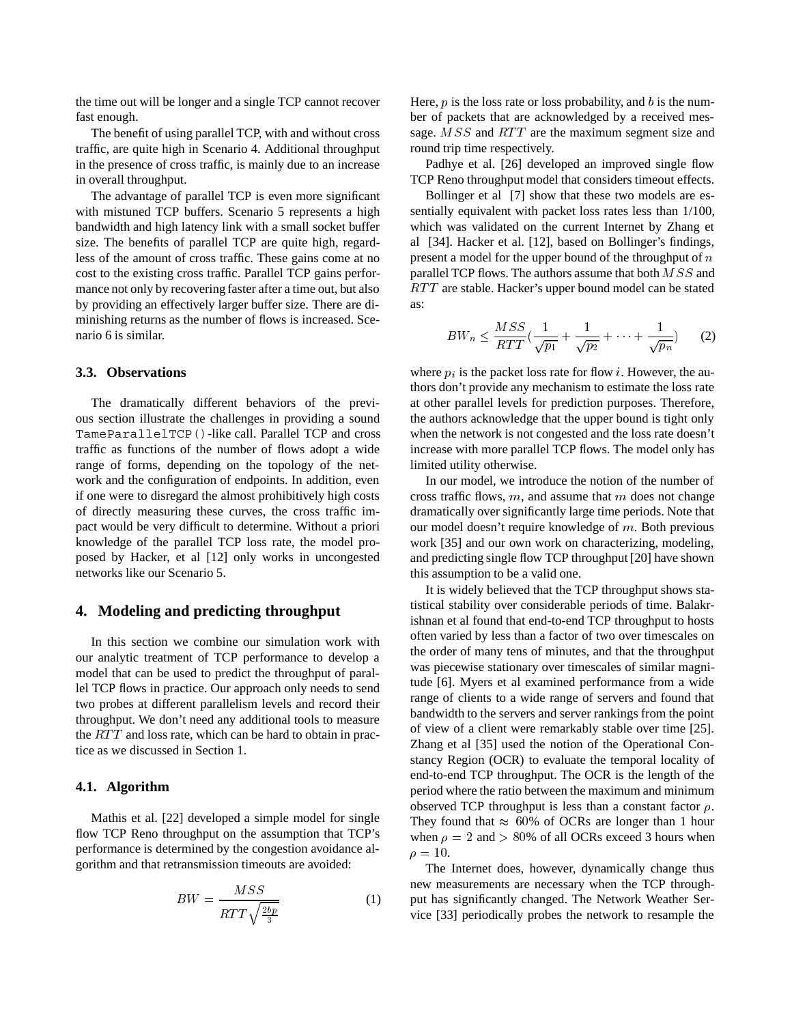the time out will be longer and a single TCP cannot recover fast enough.

The benefit of using parallel TCP, with and without cross traffic, are quite high in Scenario 4. Additional throughput in the presence of cross traffic, is mainly due to an increase in overall throughput.

The advantage of parallel TCP is even more significant with mistuned TCP buffers. Scenario 5 represents a high bandwidth and high latency link with a small socket buffer size. The benefits of parallel TCP are quite high, regardless of the amount of cross traffic. These gains come at no cost to the existing cross traffic. Parallel TCP gains performance not only by recovering faster after a time out, but also by providing an effectively larger buffer size. There are diminishing returns as the number of flows is increased. Scenario 6 is similar.

#### **3.3. Observations**

The dramatically different behaviors of the previous section illustrate the challenges in providing a sound TameParallelTCP()-like call. Parallel TCP and cross traffic as functions of the number of flows adopt a wide range of forms, depending on the topology of the network and the configuration of endpoints. In addition, even if one were to disregard the almost prohibitively high costs of directly measuring these curves, the cross traffic impact would be very difficult to determine. Without a priori knowledge of the parallel TCP loss rate, the model proposed by Hacker, et al [12] only works in uncongested networks like our Scenario 5.

### **4. Modeling and predicting throughput**

In this section we combine our simulation work with our analytic treatment of TCP performance to develop a model that can be used to predict the throughput of parallel TCP flows in practice. Our approach only needs to send two probes at different parallelism levels and record their throughput. We don't need any additional tools to measure the  $RTT$  and loss rate, which can be hard to obtain in practice as we discussed in Section 1.

#### **4.1. Algorithm**

Mathis et al. [22] developed a simple model for single flow TCP Reno throughput on the assumption that TCP's performance is determined by the congestion avoidance algorithm and that retransmission timeouts are avoided:

$$
BW = \frac{MSS}{RTT\sqrt{\frac{2bp}{3}}}
$$
(1)

Here,  $p$  is the loss rate or loss probability, and  $b$  is the number of packets that are acknowledged by a received message.  $MSS$  and  $RTT$  are the maximum segment size and round trip time respectively.

Padhye et al. [26] developed an improved single flow TCP Reno throughput model that considers timeout effects.

Bollinger et al [7] show that these two models are essentially equivalent with packet loss rates less than 1/100, which was validated on the current Internet by Zhang et al [34]. Hacker et al. [12], based on Bollinger's findings, present a model for the upper bound of the throughput of  $n$ parallel TCP flows. The authors assume that both  $MSS$  and  $RTT$  are stable. Hacker's upper bound model can be stated as:

$$
BW_n \leq \frac{MSS}{RTT} \left(\frac{1}{\sqrt{p_1}} + \frac{1}{\sqrt{p_2}} + \dots + \frac{1}{\sqrt{p_n}}\right) \tag{2}
$$

where  $p_i$  is the packet loss rate for flow *i*. However, the authors don't provide any mechanism to estimate the loss rate at other parallel levels for prediction purposes. Therefore, the authors acknowledge that the upper bound is tight only when the network is not congested and the loss rate doesn't increase with more parallel TCP flows. The model only has limited utility otherwise.

In our model, we introduce the notion of the number of cross traffic flows,  $m$ , and assume that  $m$  does not change dramatically over significantly large time periods. Note that our model doesn't require knowledge of  $m$ . Both previous work [35] and our own work on characterizing, modeling, and predicting single flow TCP throughput [20] have shown this assumption to be a valid one.

It is widely believed that the TCP throughput shows statistical stability over considerable periods of time. Balakrishnan et al found that end-to-end TCP throughput to hosts often varied by less than a factor of two over timescales on the order of many tens of minutes, and that the throughput was piecewise stationary over timescales of similar magnitude [6]. Myers et al examined performance from a wide range of clients to a wide range of servers and found that bandwidth to the servers and server rankings from the point of view of a client were remarkably stable over time [25]. Zhang et al [35] used the notion of the Operational Constancy Region (OCR) to evaluate the temporal locality of end-to-end TCP throughput. The OCR is the length of the period where the ratio between the maximum and minimum observed TCP throughput is less than a constant factor  $\rho$ . They found that  $\approx 60\%$  of OCRs are longer than 1 hour when  $\rho = 2$  and  $> 80\%$  of all OCRs exceed 3 hours when  $\rho = 10.$ 

The Internet does, however, dynamically change thus new measurements are necessary when the TCP throughput has significantly changed. The Network Weather Service [33] periodically probes the network to resample the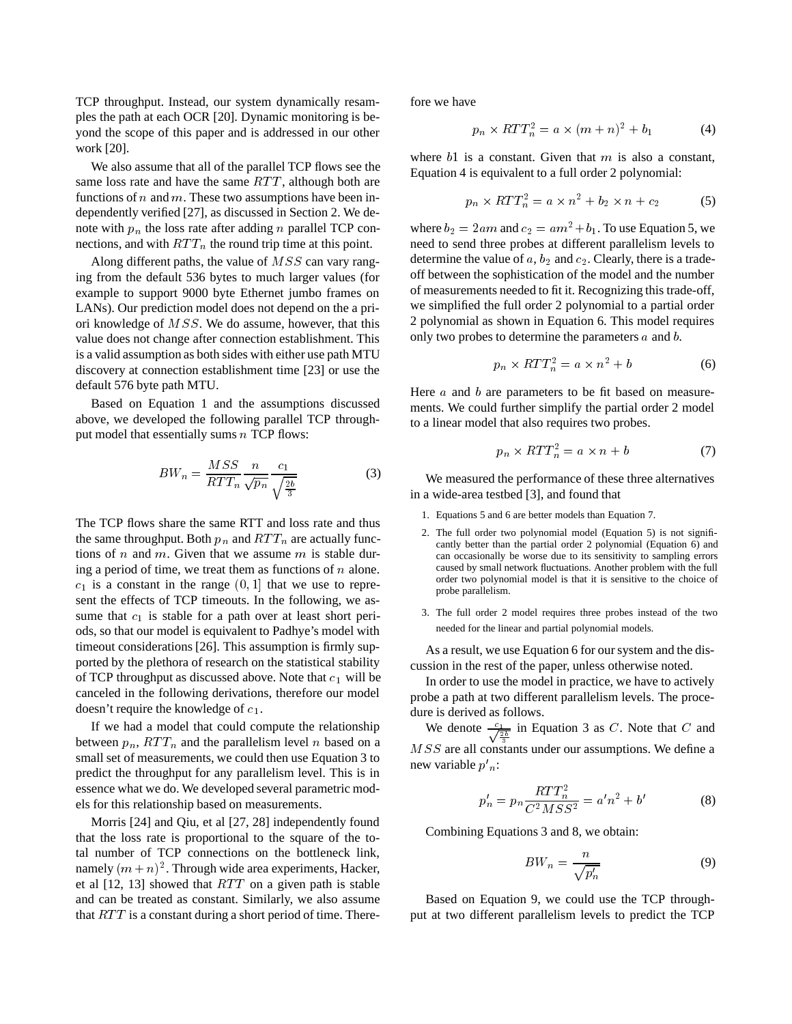TCP throughput. Instead, our system dynamically resamples the path at each OCR [20]. Dynamic monitoring is beyond the scope of this paper and is addressed in our other work [20].

We also assume that all of the parallel TCP flows see the same loss rate and have the same  $RTT$ , although both are functions of  $n$  and  $m$ . These two assumptions have been independently verified [27], as discussed in Section 2. We denote with  $p_n$  the loss rate after adding n parallel TCP connections, and with  $RTT_n$  the round trip time at this point.

Along different paths, the value of  $MSS$  can vary ranging from the default 536 bytes to much larger values (for example to support 9000 byte Ethernet jumbo frames on LANs). Our prediction model does not depend on the a priori knowledge of  $MSS$ . We do assume, however, that this value does not change after connection establishment. This is a valid assumption as both sides with either use path MTU discovery at connection establishment time [23] or use the default 576 byte path MTU.

Based on Equation 1 and the assumptions discussed above, we developed the following parallel TCP throughput model that essentially sums  $n$  TCP flows:

$$
BW_n = \frac{MSS}{RTT_n} \frac{n}{\sqrt{p_n}} \frac{c_1}{\sqrt{\frac{2b}{3}}} \tag{3}
$$

The TCP flows share the same RTT and loss rate and thus the same throughput. Both  $p_n$  and  $RTT_n$  are actually functions of *n* and *m*. Given that we assume *m* is stable during a period of time, we treat them as functions of  $n$  alone.  $c_1$  is a constant in the range  $(0,1]$  that we use to represent the effects of TCP timeouts. In the following, we assume that  $c_1$  is stable for a path over at least short periods, so that our model is equivalent to Padhye's model with timeout considerations [26]. This assumption is firmly supported by the plethora of research on the statistical stability of TCP throughput as discussed above. Note that  $c_1$  will be canceled in the following derivations, therefore our model doesn't require the knowledge of  $c_1$ .

If we had a model that could compute the relationship between  $p_n$ ,  $RTT_n$  and the parallelism level n based on a small set of measurements, we could then use Equation 3 to predict the throughput for any parallelism level. This is in essence what we do. We developed several parametric models for this relationship based on measurements.

Morris [24] and Qiu, et al [27, 28] independently found that the loss rate is proportional to the square of the total number of TCP connections on the bottleneck link, namely  $(m+n)^2$ . Through wide area experiments, Hacker, et al  $[12, 13]$  showed that  $RTT$  on a given path is stable and can be treated as constant. Similarly, we also assume that  $RTT$  is a constant during a short period of time. Therefore we have

$$
p_n \times RTT_n^2 = a \times (m+n)^2 + b_1 \tag{4}
$$

where  $b1$  is a constant. Given that m is also a constant, Equation 4 is equivalent to a full order 2 polynomial:

$$
p_n \times RTT_n^2 = a \times n^2 + b_2 \times n + c_2 \tag{5}
$$

where  $b_2 = 2am$  and  $c_2 = am^2 + b_1$ . To use Equation 5, we need to send three probes at different parallelism levels to determine the value of  $a, b_2$  and  $c_2$ . Clearly, there is a tradeoff between the sophistication of the model and the number of measurements needed to fit it. Recognizing this trade-off, we simplified the full order 2 polynomial to a partial order 2 polynomial as shown in Equation 6. This model requires only two probes to determine the parameters  $a$  and  $b$ .

$$
p_n \times RTT_n^2 = a \times n^2 + b \tag{6}
$$

Here  $a$  and  $b$  are parameters to be fit based on measurements. We could further simplify the partial order 2 model to a linear model that also requires two probes.

$$
p_n \times RTT_n^2 = a \times n + b \tag{7}
$$

We measured the performance of these three alternatives in a wide-area testbed [3], and found that

- 1. Equations 5 and 6 are better models than Equation 7.
- 2. The full order two polynomial model (Equation 5) is not significantly better than the partial order 2 polynomial (Equation 6) and can occasionally be worse due to its sensitivity to sampling errors caused by small network fluctuations. Another problem with the full order two polynomial model is that it is sensitive to the choice of probe parallelism.
- 3. The full order 2 model requires three probes instead of the two needed for the linear and partial polynomial models.

As a result, we use Equation 6 for our system and the discussion in the rest of the paper, unless otherwise noted.

In order to use the model in practice, we have to actively probe a path at two different parallelism levels. The procedure is derived as follows.

We denote  $\frac{c_1}{\sqrt{\frac{2b}{3}}}$  in Equation 3 as C. Note that C and  $MSS$  are all constants under our assumptions. We define a new variable  $p'_{n}$ :

$$
p'_{n} = p_{n} \frac{RTT_{n}^{2}}{C^{2}MSS^{2}} = a'n^{2} + b'
$$
 (8)

Combining Equations 3 and 8, we obtain:

$$
BW_n = \frac{n}{\sqrt{p'_n}}\tag{9}
$$

Based on Equation 9, we could use the TCP throughput at two different parallelism levels to predict the TCP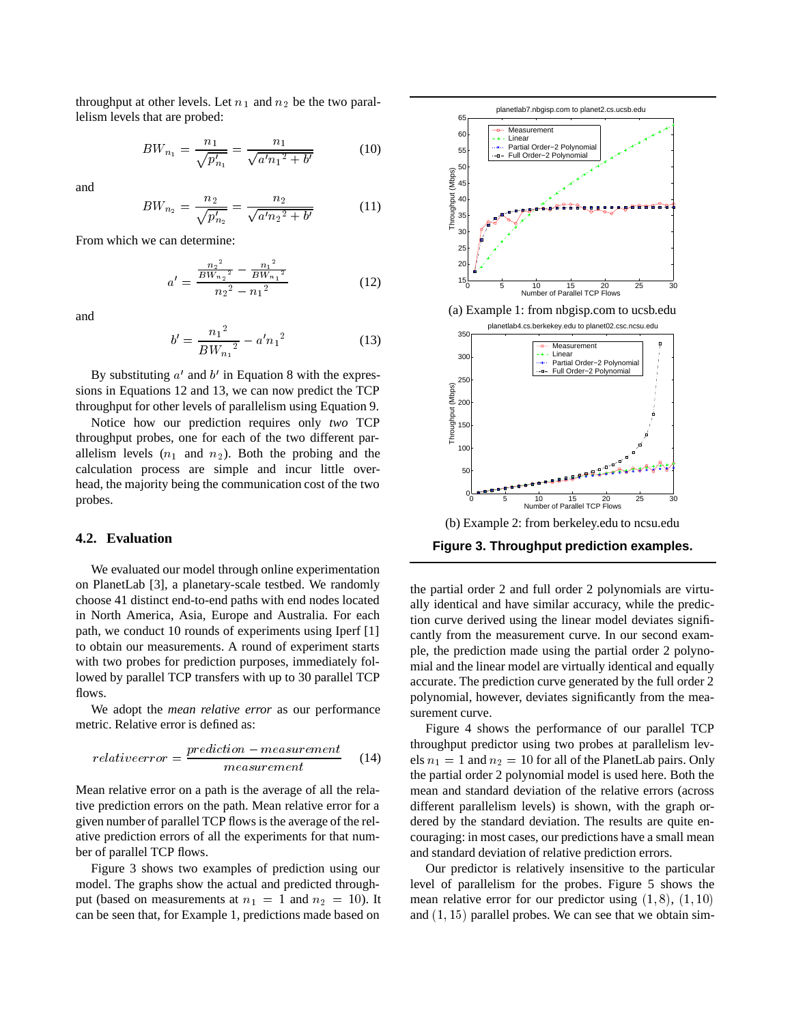throughput at other levels. Let  $n_1$  and  $n_2$  be the two parallelism levels that are probed:

$$
BW_{n_1} = \frac{n_1}{\sqrt{p'_{n_1}}} = \frac{n_1}{\sqrt{a'n_1^2 + b'}}\tag{10}
$$

and

$$
BW_{n_2} = \frac{n_2}{\sqrt{p'_{n_2}}} = \frac{n_2}{\sqrt{a'n_2^2 + b'}}
$$
 (11)

From which we can determine:

$$
a' = \frac{\frac{n_2^2}{BW_{n_2}^2} - \frac{n_1^2}{BW_{n_1}^2}}{n_2^2 - n_1^2}
$$
 (12)

and

$$
b' = \frac{n_1^2}{BW_{n_1}^2} - a'n_1^2
$$
 (13)

By substituting  $a'$  and  $b'$  in Equation 8 with the expressions in Equations 12 and 13, we can now predict the TCP throughput for other levels of parallelism using Equation 9.

Notice how our prediction requires only *two* TCP throughput probes, one for each of the two different parallelism levels  $(n_1$  and  $n_2)$ . Both the probing and the calculation process are simple and incur little overhead, the majority being the communication cost of the two probes.

#### **4.2. Evaluation**

We evaluated our model through online experimentation on PlanetLab [3], a planetary-scale testbed. We randomly choose 41 distinct end-to-end paths with end nodes located in North America, Asia, Europe and Australia. For each path, we conduct 10 rounds of experiments using Iperf [1] to obtain our measurements. A round of experiment starts with two probes for prediction purposes, immediately followed by parallel TCP transfers with up to 30 parallel TCP flows.

We adopt the *mean relative error* as our performance metric. Relative error is defined as:

$$
relative error = \frac{prediction - measurement}{measurement} \tag{14}
$$

Mean relative error on a path is the average of all the relative prediction errors on the path. Mean relative error for a given number of parallel TCP flows is the average of the relative prediction errors of all the experiments for that number of parallel TCP flows.

Figure 3 shows two examples of prediction using our model. The graphs show the actual and predicted throughput (based on measurements at  $n_1 = 1$  and  $n_2 = 10$ ). It m can be seen that, for Example 1, predictions made based on



the partial order 2 and full order 2 polynomials are virtually identical and have similar accuracy, while the prediction curve derived using the linear model deviates significantly from the measurement curve. In our second example, the prediction made using the partial order 2 polynomial and the linear model are virtually identical and equally accurate. The prediction curve generated by the full order 2 polynomial, however, deviates significantly from the measurement curve.

Figure 4 shows the performance of our parallel TCP throughput predictor using two probes at parallelism levels  $n_1 = 1$  and  $n_2 = 10$  for all of the PlanetLab pairs. Only the partial order 2 polynomial model is used here. Both the mean and standard deviation of the relative errors (across different parallelism levels) is shown, with the graph ordered by the standard deviation. The results are quite encouraging: in most cases, our predictions have a small mean and standard deviation of relative prediction errors.

Our predictor is relatively insensitive to the particular level of parallelism for the probes. Figure 5 shows the mean relative error for our predictor using  $(1, 8)$ ,  $(1, 10)$ and  $(1, 15)$  parallel probes. We can see that we obtain sim-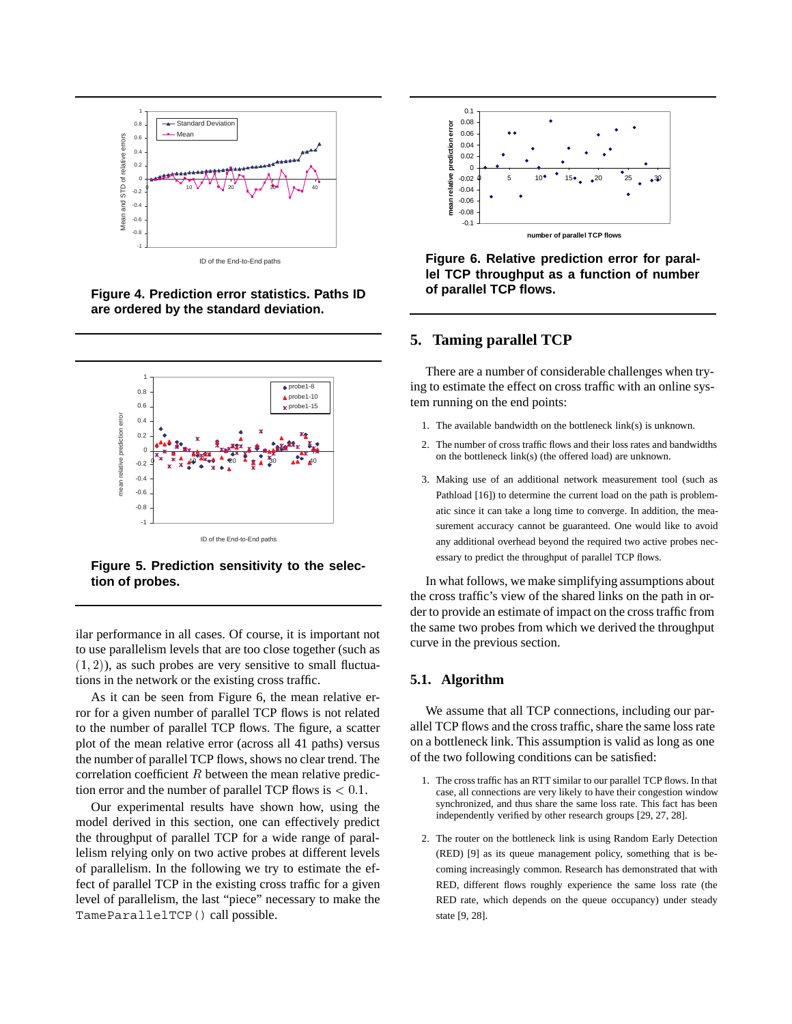

ID of the End-to-End paths

**Figure 4. Prediction error statistics. Paths ID are ordered by the standard deviation.**



**Figure 5. Prediction sensitivity to the selection of probes.**

ilar performance in all cases. Of course, it is important not to use parallelism levels that are too close together (such as  $(1, 2)$ ), as such probes are very sensitive to small fluctuations in the network or the existing cross traffic.

As it can be seen from Figure 6, the mean relative error for a given number of parallel TCP flows is not related to the number of parallel TCP flows. The figure, a scatter plot of the mean relative error (across all 41 paths) versus the number of parallel TCP flows, shows no clear trend. The correlation coefficient  $R$  between the mean relative prediction error and the number of parallel TCP flows is  $< 0.1$ .

Our experimental results have shown how, using the model derived in this section, one can effectively predict the throughput of parallel TCP for a wide range of parallelism relying only on two active probes at different levels of parallelism. In the following we try to estimate the effect of parallel TCP in the existing cross traffic for a given level of parallelism, the last "piece" necessary to make the TameParallelTCP() call possible.



**Figure 6. Relative prediction error for parallel TCP throughput as a function of number of parallel TCP flows.**

## **5. Taming parallel TCP**

There are a number of considerable challenges when trying to estimate the effect on cross traffic with an online system running on the end points:

- 1. The available bandwidth on the bottleneck link(s) is unknown.
- 2. The number of cross traffic flows and their loss rates and bandwidths on the bottleneck link(s) (the offered load) are unknown.
- 3. Making use of an additional network measurement tool (such as Pathload [16]) to determine the current load on the path is problematic since it can take a long time to converge. In addition, the measurement accuracy cannot be guaranteed. One would like to avoid any additional overhead beyond the required two active probes necessary to predict the throughput of parallel TCP flows.

In what follows, we make simplifying assumptions about the cross traffic's view of the shared links on the path in order to provide an estimate of impact on the cross traffic from the same two probes from which we derived the throughput curve in the previous section.

#### **5.1. Algorithm**

We assume that all TCP connections, including our parallel TCP flows and the cross traffic, share the same loss rate on a bottleneck link. This assumption is valid as long as one of the two following conditions can be satisfied:

- 1. The cross traffic has an RTT similar to our parallel TCP flows. In that case, all connections are very likely to have their congestion window synchronized, and thus share the same loss rate. This fact has been independently verified by other research groups [29, 27, 28].
- 2. The router on the bottleneck link is using Random Early Detection (RED) [9] as its queue management policy, something that is becoming increasingly common. Research has demonstrated that with RED, different flows roughly experience the same loss rate (the RED rate, which depends on the queue occupancy) under steady state [9, 28].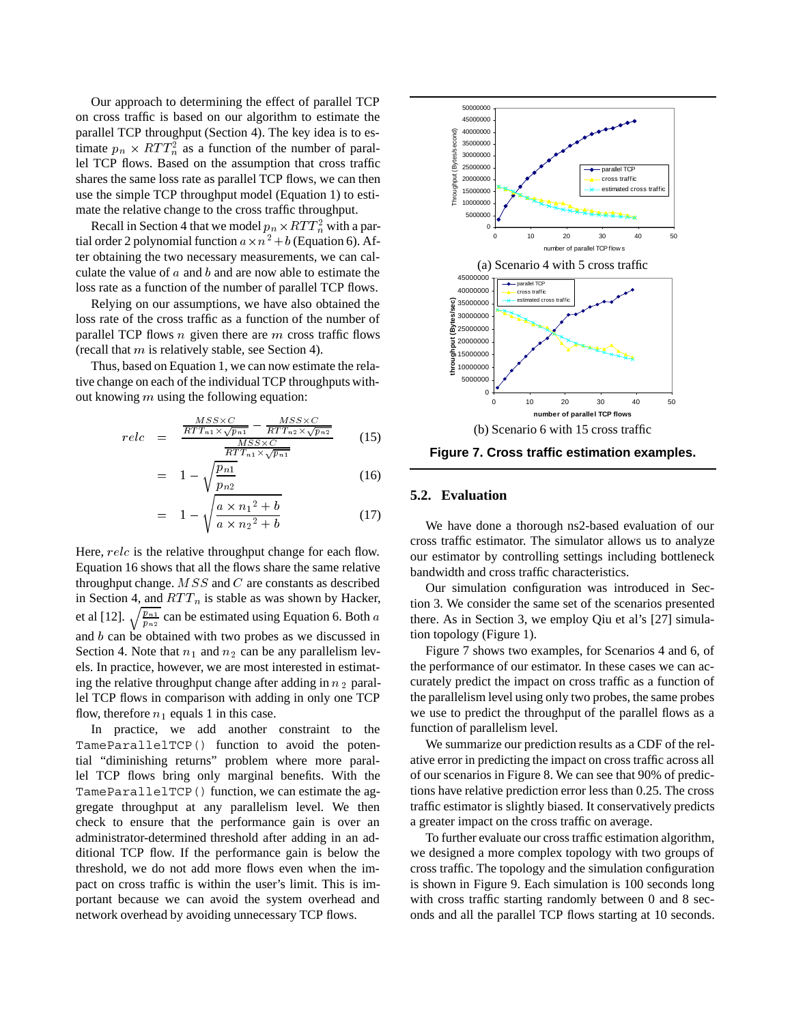Our approach to determining the effect of parallel TCP on cross traffic is based on our algorithm to estimate the parallel TCP throughput (Section 4). The key idea is to estimate  $p_n \times RTT_n^2$  as a function of the number of parallel TCP flows. Based on the assumption that cross traffic shares the same loss rate as parallel TCP flows, we can then use the simple TCP throughput model (Equation 1) to estimate the relative change to the cross traffic throughput.

Recall in Section 4 that we model  $p_n \times RTT_n^2$  with a partial order 2 polynomial function  $a \times n^2 + b$  (Equation 6). After obtaining the two necessary measurements, we can calculate the value of  $a$  and  $b$  and are now able to estimate the loss rate as a function of the number of parallel TCP flows.

Relying on our assumptions, we have also obtained the loss rate of the cross traffic as a function of the number of parallel TCP flows  $n$  given there are  $m$  cross traffic flows (recall that  $m$  is relatively stable, see Section 4).

Thus, based on Equation 1, we can now estimate the relative change on each of the individual TCP throughputs without knowing  $m$  using the following equation:

$$
relc = \frac{\frac{MSS \times C}{RTT_{n1} \times \sqrt{p_{n1}}} - \frac{MSS \times C}{RTT_{n2} \times \sqrt{p_{n2}}}}{\frac{MSS \times C}{RTT_{n1} \times \sqrt{p_{n1}}}}
$$
(15)

$$
= 1 - \sqrt{\frac{p_{n1}}{p_{n2}}} \tag{16}
$$

$$
= 1 - \sqrt{\frac{a \times n_1^2 + b}{a \times n_2^2 + b}}
$$
 (17)

Here,  $relc$  is the relative throughput change for each flow. Equation 16 shows that all the flows share the same relative throughput change.  $MSS$  and  $C$  are constants as described in Section 4, and  $RTT_n$  is stable as was shown by Hacker, et al [12].  $\sqrt{\frac{p_{n1}}{p_{n2}}}$  can be estimated using Equation 6. Both a there and  $b$  can be obtained with two probes as we discussed in Section 4. Note that  $n_1$  and  $n_2$  can be any parallelism levels. In practice, however, we are most interested in estimating the relative throughput change after adding in  $n_2$  parallel TCP flows in comparison with adding in only one TCP flow, therefore  $n_1$  equals 1 in this case.

In practice, we add another constraint to the TameParallelTCP() function to avoid the potential "diminishing returns" problem where more parallel TCP flows bring only marginal benefits. With the TameParallelTCP() function, we can estimate the aggregate throughput at any parallelism level. We then check to ensure that the performance gain is over an administrator-determined threshold after adding in an additional TCP flow. If the performance gain is below the threshold, we do not add more flows even when the impact on cross traffic is within the user's limit. This is important because we can avoid the system overhead and network overhead by avoiding unnecessary TCP flows.



**Figure 7. Cross traffic estimation examples.**

#### **5.2. Evaluation**

We have done a thorough ns2-based evaluation of our cross traffic estimator. The simulator allows us to analyze our estimator by controlling settings including bottleneck bandwidth and cross traffic characteristics.

Our simulation configuration was introduced in Section 3. We consider the same set of the scenarios presented there. As in Section 3, we employ Qiu et al's [27] simulation topology (Figure 1).

Figure 7 shows two examples, for Scenarios 4 and 6, of the performance of our estimator. In these cases we can accurately predict the impact on cross traffic as a function of the parallelism level using only two probes, the same probes we use to predict the throughput of the parallel flows as a function of parallelism level.

We summarize our prediction results as a CDF of the relative error in predicting the impact on cross traffic across all of our scenarios in Figure 8. We can see that 90% of predictions have relative prediction error less than 0.25. The cross traffic estimator is slightly biased. It conservatively predicts a greater impact on the cross traffic on average.

To further evaluate our cross traffic estimation algorithm, we designed a more complex topology with two groups of cross traffic. The topology and the simulation configuration is shown in Figure 9. Each simulation is 100 seconds long with cross traffic starting randomly between 0 and 8 seconds and all the parallel TCP flows starting at 10 seconds.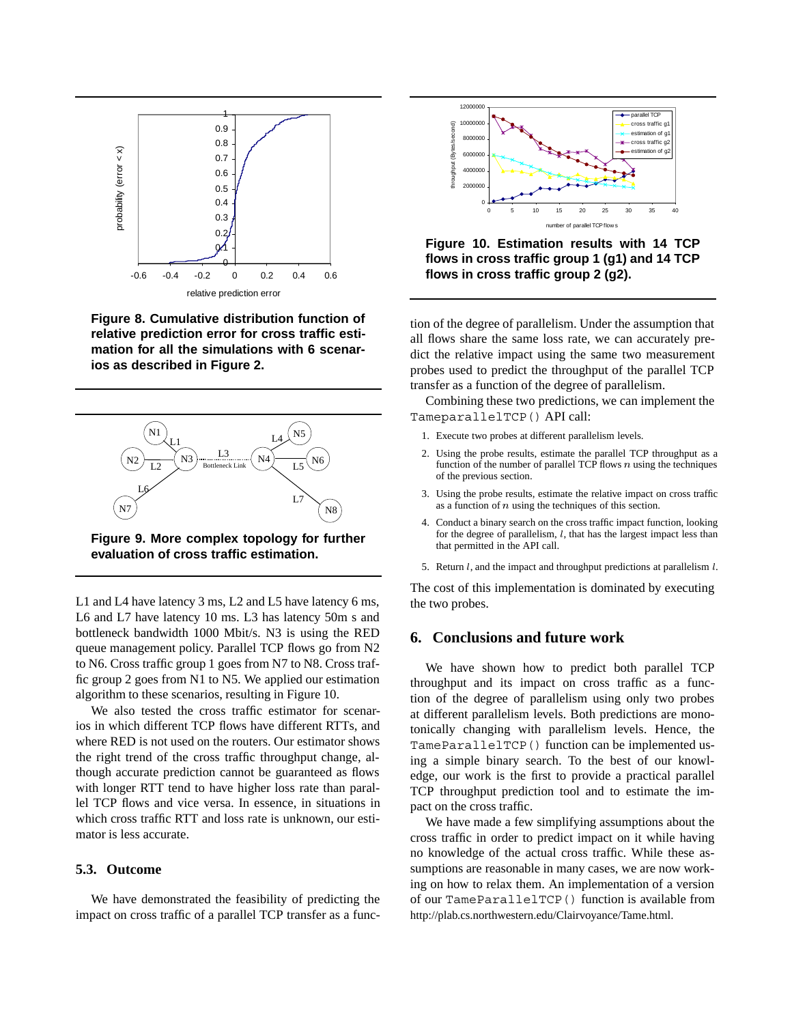

**Figure 8. Cumulative distribution function of relative prediction error for cross traffic estimation for all the simulations with 6 scenarios as described in Figure 2.**



**Figure 9. More complex topology for further evaluation of cross traffic estimation.**

L1 and L4 have latency 3 ms, L2 and L5 have latency 6 ms, L6 and L7 have latency 10 ms. L3 has latency 50m s and bottleneck bandwidth 1000 Mbit/s. N3 is using the RED queue management policy. Parallel TCP flows go from N2 to N6. Cross traffic group 1 goes from N7 to N8. Cross traffic group 2 goes from N1 to N5. We applied our estimation algorithm to these scenarios, resulting in Figure 10.

We also tested the cross traffic estimator for scenarios in which different TCP flows have different RTTs, and where RED is not used on the routers. Our estimator shows the right trend of the cross traffic throughput change, although accurate prediction cannot be guaranteed as flows with longer RTT tend to have higher loss rate than parallel TCP flows and vice versa. In essence, in situations in which cross traffic RTT and loss rate is unknown, our estimator is less accurate.

#### **5.3. Outcome**

We have demonstrated the feasibility of predicting the impact on cross traffic of a parallel TCP transfer as a func-



**Figure 10. Estimation results with 14 TCP flows in cross traffic group 1 (g1) and 14 TCP flows in cross traffic group 2 (g2).**

tion of the degree of parallelism. Under the assumption that all flows share the same loss rate, we can accurately predict the relative impact using the same two measurement probes used to predict the throughput of the parallel TCP transfer as a function of the degree of parallelism.

Combining these two predictions, we can implement the TameparallelTCP() API call:

- 1. Execute two probes at different parallelism levels.
- 2. Using the probe results, estimate the parallel TCP throughput as a function of the number of parallel TCP flows  $n$  using the techniques of the previous section.
- 3. Using the probe results, estimate the relative impact on cross traffic as a function of  $n$  using the techniques of this section.
- 4. Conduct a binary search on the cross traffic impact function, looking for the degree of parallelism,  $l$ , that has the largest impact less than that permitted in the API call.
- 5. Return  $l$ , and the impact and throughput predictions at parallelism  $l$ .

The cost of this implementation is dominated by executing the two probes.

#### **6. Conclusions and future work**

We have shown how to predict both parallel TCP throughput and its impact on cross traffic as a function of the degree of parallelism using only two probes at different parallelism levels. Both predictions are monotonically changing with parallelism levels. Hence, the TameParallelTCP() function can be implemented using a simple binary search. To the best of our knowledge, our work is the first to provide a practical parallel TCP throughput prediction tool and to estimate the impact on the cross traffic.

We have made a few simplifying assumptions about the cross traffic in order to predict impact on it while having no knowledge of the actual cross traffic. While these assumptions are reasonable in many cases, we are now working on how to relax them. An implementation of a version of our TameParallelTCP() function is available from http://plab.cs.northwestern.edu/Clairvoyance/Tame.html.